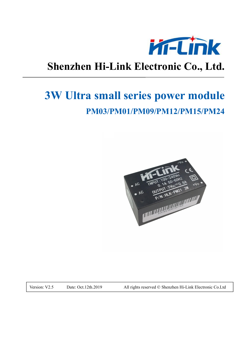

## **Shenzhen Hi-Link Electronic Co., Ltd.**

# **3W Ultra small series power module PM03/PM01/PM09/PM12/PM15/PM24**



Version: V2.5 Date: Oct.12th.2019 All rights reserved © Shenzhen Hi-Link Electronic Co.Ltd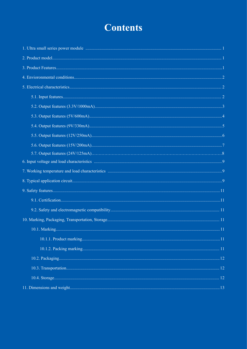## **Contents**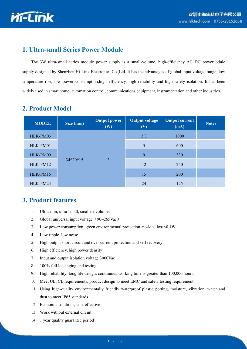

#### **1. Ultra-small Series Power Module**

The 3W ultra-small series module power supply is a small-volume, high-efficiency AC DC power odule supply designed by Shenzhen Hi-Link Electronics Co.,Ltd. It has the advantages of global input voltage range, low temperature rise, low power consumption,high efficiency, high reliability and high safety isolation. It has been widely used in smart home, automation control, communications equipment, instrumentation and other industries.

| <b>MODEL</b> | Size (mm)  | <b>Output power</b><br>(W) | <b>Output voltage</b><br>(V) | <b>Output current</b><br>(mA) | <b>Notes</b> |
|--------------|------------|----------------------------|------------------------------|-------------------------------|--------------|
| HLK-PM03     |            |                            | 3.3                          | 1000                          |              |
| HLK-PM01     |            |                            | 5                            | 600                           |              |
| HLK-PM09     |            |                            | 9                            | 330                           |              |
| HLK-PM12     | $34*20*15$ | 3                          | 12                           | 250                           |              |
| HLK-PM15     |            |                            | 15                           | <b>200</b>                    |              |
| HLK-PM24     |            |                            | 24                           | 125                           |              |

#### **2. Product Model**

#### **3. Product features**

- 1. Ultra-thin, ultra-small, smallest volume;
- 2. Global universal input voltage  $(90~265\text{Vac})$
- 3. Low power consumption, green environmental protection, no-load loss<0.1W
- 4. Low ripple, low noise
- 5. High output short circuit and over-current protection and self recovery
- 6. High efficiency, high power density
- 7. Input and output isolation voltage 3000Vac
- 8. 100% full load aging and testing
- 9. High reliability, long life design, continuous working time is greater than 100,000 hours;
- 10. Meet UL, CE requirements; product design to meet EMC and safety testing requirement;
- 11. Using high-quality environmentally friendly waterproof plastic potting, moisture, vibration, water and dust to meet IP65 standards
- 12. Economic solutions, cost-effective
- 13. Work without external circuit
- 14. 1 year quality guarantee period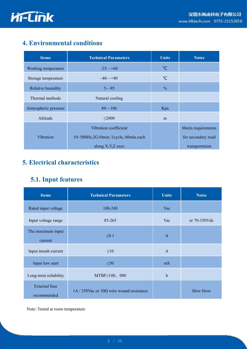

## **4. Environmental conditions**

| <b>Items</b>         | <b>Technical Parameters</b>          | <b>Units</b>  | <b>Notes</b>       |
|----------------------|--------------------------------------|---------------|--------------------|
| Working temperature  | $-25 - 60$                           | $\mathrm{C}$  |                    |
| Storage temperature  | $-40-80$                             | $\mathrm{C}$  |                    |
| Relative humidity    | $5 - 95$                             | $\frac{0}{0}$ |                    |
| Thermal methods      | Natural cooling                      |               |                    |
| Atmospheric pressure | $80 - 106$                           | Kpa           |                    |
| Altitude             | $\leq 2000$                          | m             |                    |
|                      | Vibration coefficient                |               | Meets requirements |
| Vibration            | 10~500Hz,2G10min./1cycle, 60min.each |               | for secondary road |
|                      | along X, Y, Z axes                   |               | transportation     |

## **5. Electrical characteristics**

### **5.1. Input features**

| <b>Items</b>                 | <b>Technical Parameters</b>                      | <b>Units</b>              | <b>Notes</b>    |
|------------------------------|--------------------------------------------------|---------------------------|-----------------|
| Rated input voltage          | 100-240                                          | Vac                       |                 |
| Input voltage range          | 85-265                                           | Vac                       | or $70-350$ Vdc |
| The maximum input<br>current | $\leq 0.1$                                       | $\mathbf{A}$              |                 |
| Input inrush current         | $\leq 10$                                        | $\mathbf{A}$              |                 |
| Input low start              | $\leq 50$                                        | mS                        |                 |
| Long-term reliability        | $MTBF \ge 100, 000$                              | $\boldsymbol{\mathrm{h}}$ |                 |
| External fuse<br>recommended | $1A/250$ Vac or $10\Omega$ wire wound resistance |                           | Slow blow       |

Note: Tested at room temperature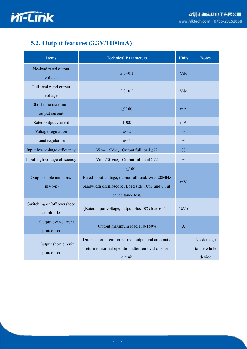

## **5.2. Output features (3.3V/1000mA)**

| <b>Items</b>                            | <b>Technical Parameters</b>                                                                                                              | <b>Units</b>  | <b>Notes</b>                        |
|-----------------------------------------|------------------------------------------------------------------------------------------------------------------------------------------|---------------|-------------------------------------|
| No-load rated output<br>voltage         | $3.3 \pm 0.1$                                                                                                                            | Vdc           |                                     |
| Full-load rated output<br>voltage       | $3.3 \pm 0.2$                                                                                                                            | Vdc           |                                     |
| Short time maximum<br>output current    | $\geq 1100$                                                                                                                              | mA            |                                     |
| Rated output current                    | 1000                                                                                                                                     | mA            |                                     |
| Voltage regulation                      | $\pm 0.2$                                                                                                                                | $\frac{0}{0}$ |                                     |
| Load regulation                         | $\pm 0.5$                                                                                                                                | $\frac{0}{0}$ |                                     |
| Input low voltage efficiency            | Vin=115Vac, Output full load $\geq$ 72                                                                                                   | $\frac{0}{0}$ |                                     |
| Input high voltage efficiency           | Vin=230Vac, Output full load $\geq$ 72                                                                                                   | $\frac{0}{0}$ |                                     |
| Output ripple and noise<br>$(mVp-p)$    | $\leq 100$<br>Rated input voltage, output full load. With 20MHz<br>bandwidth oscilloscope, Load side 10uF and 0.1uF<br>capacitance test. | mV            |                                     |
| Switching on/off overshoot<br>amplitude | (Rated input voltage, output plus $10\%$ load) $\leq 5$                                                                                  | $\%V_O$       |                                     |
| Output over-current<br>protection       | Output maximum load 110-150%                                                                                                             | $\mathbf{A}$  |                                     |
| Output short circuit<br>protection      | Direct short circuit in normal output and automatic<br>return to normal operation after removal of short<br>circuit                      |               | No-damage<br>to the whole<br>device |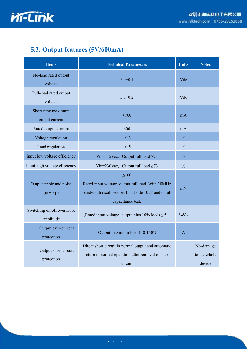

## **5.3. Output features (5V/600mA)**

| <b>Items</b>                            | <b>Technical Parameters</b>                                                                                                              | <b>Units</b>  | <b>Notes</b>                        |
|-----------------------------------------|------------------------------------------------------------------------------------------------------------------------------------------|---------------|-------------------------------------|
| No-load rated output<br>voltage         | $5.0 \pm 0.1$                                                                                                                            | Vdc           |                                     |
| Full-load rated output<br>voltage       | $5.0 \pm 0.2$                                                                                                                            | Vdc           |                                     |
| Short time maximum<br>output current    | $\geq 700$                                                                                                                               | mA            |                                     |
| Rated output current                    | 600                                                                                                                                      | mA            |                                     |
| Voltage regulation                      | $\pm 0.2$                                                                                                                                | $\frac{0}{0}$ |                                     |
| Load regulation                         | $\pm 0.5$                                                                                                                                | $\frac{0}{0}$ |                                     |
| Input low voltage efficiency            | Vin=115Vac, Output full load $\geq$ 73                                                                                                   | $\frac{0}{0}$ |                                     |
| Input high voltage efficiency           | Vin=230Vac, Output full load $\geq$ 73                                                                                                   | $\frac{0}{0}$ |                                     |
| Output ripple and noise<br>$(mVp-p)$    | $\leq 100$<br>Rated input voltage, output full load. With 20MHz<br>bandwidth oscilloscope, Load side 10uF and 0.1uF<br>capacitance test. | mV            |                                     |
| Switching on/off overshoot<br>amplitude | (Rated input voltage, output plus $10\%$ load) $\leq 5$                                                                                  | $\%V_O$       |                                     |
| Output over-current<br>protection       | Output maximum load 110-150%                                                                                                             | $\mathbf{A}$  |                                     |
| Output short circuit<br>protection      | Direct short circuit in normal output and automatic<br>return to normal operation after removal of short<br>circuit                      |               | No-damage<br>to the whole<br>device |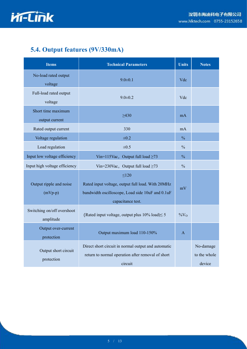

## **5.4. Output features (9V/330mA)**

| <b>Items</b>                            | <b>Technical Parameters</b>                                                                                                              | <b>Units</b>  | <b>Notes</b>                        |
|-----------------------------------------|------------------------------------------------------------------------------------------------------------------------------------------|---------------|-------------------------------------|
| No-load rated output<br>voltage         | $9.0 \pm 0.1$                                                                                                                            | Vdc           |                                     |
| Full-load rated output<br>voltage       | $9.0 \pm 0.2$                                                                                                                            | Vdc           |                                     |
| Short time maximum<br>output current    | $\geq 430$                                                                                                                               | mA            |                                     |
| Rated output current                    | 330                                                                                                                                      | mA            |                                     |
| Voltage regulation                      | $\pm 0.2$                                                                                                                                | $\frac{0}{0}$ |                                     |
| Load regulation                         | $\pm 0.5$                                                                                                                                | $\frac{0}{0}$ |                                     |
| Input low voltage efficiency            | Vin=115Vac, Output full load $\geq$ 73                                                                                                   | $\frac{0}{0}$ |                                     |
| Input high voltage efficiency           | Vin=230Vac, Output full load $\geq$ 73                                                                                                   | $\frac{0}{0}$ |                                     |
| Output ripple and noise<br>$(mVp-p)$    | $\leq 120$<br>Rated input voltage, output full load. With 20MHz<br>bandwidth oscilloscope, Load side 10uF and 0.1uF<br>capacitance test. | mV            |                                     |
| Switching on/off overshoot<br>amplitude | (Rated input voltage, output plus $10\%$ load) $\leq 5$                                                                                  | $\%V_O$       |                                     |
| Output over-current<br>protection       | Output maximum load 110-150%                                                                                                             | $\mathbf{A}$  |                                     |
| Output short circuit<br>protection      | Direct short circuit in normal output and automatic<br>return to normal operation after removal of short<br>circuit                      |               | No-damage<br>to the whole<br>device |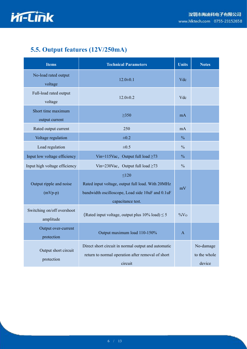

## **5.5. Output features (12V/250mA)**

| <b>Items</b>                            | <b>Technical Parameters</b>                                                                                                              | <b>Units</b>  | <b>Notes</b>                        |
|-----------------------------------------|------------------------------------------------------------------------------------------------------------------------------------------|---------------|-------------------------------------|
| No-load rated output<br>voltage         | $12.0 \pm 0.1$                                                                                                                           | Vdc           |                                     |
| Full-load rated output<br>voltage       | $12.0 \pm 0.2$                                                                                                                           | Vdc           |                                     |
| Short time maximum<br>output current    | $\geq 350$                                                                                                                               | mA            |                                     |
| Rated output current                    | 250                                                                                                                                      | mA            |                                     |
| Voltage regulation                      | $\pm 0.2$                                                                                                                                | $\frac{0}{0}$ |                                     |
| Load regulation                         | $\pm 0.5$                                                                                                                                | $\frac{0}{0}$ |                                     |
| Input low voltage efficiency            | Vin=115Vac, Output full load $\geq$ 73                                                                                                   | $\frac{0}{0}$ |                                     |
| Input high voltage efficiency           | Vin=230Vac, Output full load $\geq$ 73                                                                                                   | $\frac{0}{0}$ |                                     |
| Output ripple and noise<br>$(mVp-p)$    | $\leq 120$<br>Rated input voltage, output full load. With 20MHz<br>bandwidth oscilloscope, Load side 10uF and 0.1uF<br>capacitance test. | mV            |                                     |
| Switching on/off overshoot<br>amplitude | (Rated input voltage, output plus $10\%$ load) $\leq 5$                                                                                  | $\%V_O$       |                                     |
| Output over-current<br>protection       | Output maximum load 110-150%                                                                                                             | $\mathbf{A}$  |                                     |
| Output short circuit<br>protection      | Direct short circuit in normal output and automatic<br>return to normal operation after removal of short<br>circuit                      |               | No-damage<br>to the whole<br>device |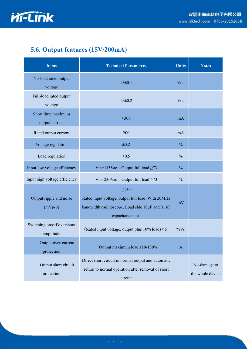

## **5.6. Output features (15V/200mA)**

| <b>Items</b>                            | <b>Technical Parameters</b>                                                                                                              | <b>Units</b>  | <b>Notes</b>                     |
|-----------------------------------------|------------------------------------------------------------------------------------------------------------------------------------------|---------------|----------------------------------|
| No-load rated output<br>voltage         | $15 \pm 0.1$                                                                                                                             | Vdc           |                                  |
| Full-load rated output<br>voltage       | $15 \pm 0.2$                                                                                                                             | Vdc           |                                  |
| Short time maximum<br>output current    | $\geq 300$                                                                                                                               | mA            |                                  |
| Rated output current                    | 200                                                                                                                                      | mA            |                                  |
| Voltage regulation                      | $\pm 0.2$                                                                                                                                | $\frac{0}{0}$ |                                  |
| Load regulation                         | $\pm 0.5$                                                                                                                                | $\frac{0}{0}$ |                                  |
| Input low voltage efficiency            | Vin=115Vac, Output full load $\geq$ 73                                                                                                   | $\frac{0}{0}$ |                                  |
| Input high voltage efficiency           | Vin=230Vac, Output full load $\geq$ 73                                                                                                   | $\frac{0}{0}$ |                                  |
| Output ripple and noise<br>$(mVp-p)$    | $\leq 150$<br>Rated input voltage, output full load. With 20MHz<br>bandwidth oscilloscope, Load side 10uF and 0.1uF<br>capacitance test. | mV            |                                  |
| Switching on/off overshoot<br>amplitude | (Rated input voltage, output plus $10\%$ load) $\leq 5$                                                                                  | $\%V_O$       |                                  |
| Output over-current<br>protection       | Output maximum load 110-130%                                                                                                             | $\mathbf{A}$  |                                  |
| Output short circuit<br>protection      | Direct short circuit in normal output and automatic<br>return to normal operation after removal of short<br>circuit                      |               | No-damage to<br>the whole device |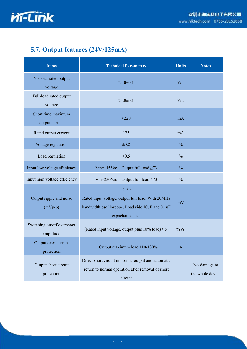

## **5.7. Output features (24V/125mA)**

| <b>Items</b>                            | <b>Technical Parameters</b>                                                                                                              | <b>Units</b>  | <b>Notes</b>                     |
|-----------------------------------------|------------------------------------------------------------------------------------------------------------------------------------------|---------------|----------------------------------|
| No-load rated output<br>voltage         | $24.0 \pm 0.1$                                                                                                                           | Vdc           |                                  |
| Full-load rated output<br>voltage       | $24.0 \pm 0.1$                                                                                                                           | Vdc           |                                  |
| Short time maximum<br>output current    | $\geq$ 220                                                                                                                               | mA            |                                  |
| Rated output current                    | 125                                                                                                                                      | mA            |                                  |
| Voltage regulation                      | $\pm 0.2$                                                                                                                                | $\frac{0}{0}$ |                                  |
| Load regulation                         | $\pm 0.5$                                                                                                                                | $\frac{0}{0}$ |                                  |
| Input low voltage efficiency            | Vin=115Vac, Output full load $\geq$ 73                                                                                                   | $\frac{0}{0}$ |                                  |
| Input high voltage efficiency           | Vin=230Vac, Output full load $\geq$ 73                                                                                                   | $\frac{0}{0}$ |                                  |
| Output ripple and noise<br>$(mVp-p)$    | $\leq 150$<br>Rated input voltage, output full load. With 20MHz<br>bandwidth oscilloscope, Load side 10uF and 0.1uF<br>capacitance test. | mV            |                                  |
| Switching on/off overshoot<br>amplitude | (Rated input voltage, output plus $10\%$ load) $\leq 5$                                                                                  | $\%V_O$       |                                  |
| Output over-current<br>protection       | Output maximum load 110-130%                                                                                                             | $\mathbf{A}$  |                                  |
| Output short circuit<br>protection      | Direct short circuit in normal output and automatic<br>return to normal operation after removal of short<br>circuit                      |               | No-damage to<br>the whole device |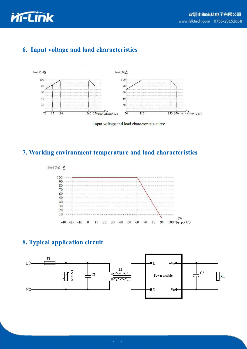



## **6. Input voltage and load characteristics**



Input voltage and load characteristic curve

#### **7. Working environment temperature and load characteristics**



#### **8. Typical application circuit**

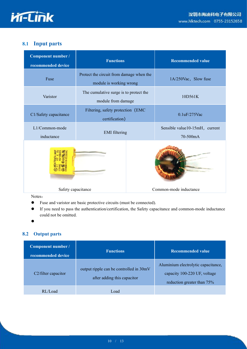

#### **8.1 Input parts**

| Component number /<br>recommended device | <b>Functions</b>                                                    |  | <b>Recommended value</b>                   |  |
|------------------------------------------|---------------------------------------------------------------------|--|--------------------------------------------|--|
| Fuse                                     | Protect the circuit from damage when the<br>module is working wrong |  | 1A/250Vac, Slow fuse                       |  |
| Varistor                                 | The cumulative surge is to protect the<br>module from damage        |  | 10D561K                                    |  |
| C1/Safety capacitance                    | Filtering, safety protection (EMC<br>certification)                 |  | 0.1uF/275Vac                               |  |
| L1/Common-mode<br>inductance             | <b>EMI</b> filtering                                                |  | Sensible value10-15mH, current<br>70-500mA |  |
|                                          |                                                                     |  |                                            |  |
| Safety capacitance                       |                                                                     |  | Common-mode inductance                     |  |

Notes:

- Fuse and varistor are basic protective circuits (must be connected).
- If you need to pass the authentication/certification, the Safety capacitance and common-mode inductance could not be omitted.

 $\bullet$  and the contract of  $\bullet$  and  $\bullet$ 

#### **8.2 Output parts**

| Component number /<br>recommended device | <b>Functions</b>                                                       | <b>Recommended value</b>                                                                          |  |  |
|------------------------------------------|------------------------------------------------------------------------|---------------------------------------------------------------------------------------------------|--|--|
| C2/filter capacitor                      | output ripple can be controlled in 30mV<br>after adding this capacitor | Aluminium electrolytic capacitance,<br>capacity 100-220 UF, voltage<br>reduction greater than 75% |  |  |
| RL/Load                                  | Load                                                                   |                                                                                                   |  |  |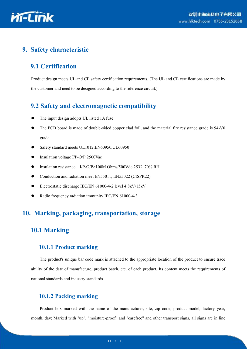

#### **9. Safety characteristic**

#### **9.1 Certification**

Product design meets UL and CE safety certification requirements. (The UL and CE certifications are made by the customer and need to be designed according to the reference circuit.)

#### **9.2 Safety and electromagnetic compatibility**

- The input design adopts UL listed 1A fuse
- The PCB board is made of double-sided copper clad foil, and the material fire resistance grade is 94-V0 grade
- Safety standard meets UL1012,EN60950,UL60950
- Insulation voltage I/P-O/P:2500Vac
- Insulation resistance I/P-O/P>100M Ohms/500Vdc 25℃ 70% RH
- Conduction and radiation meet EN55011, EN55022 (CISPR22)
- Electrostatic discharge IEC/EN 61000-4-2 level 4 8kV/15kV
- Radio frequency radiation immunity IEC/EN 61000-4-3

#### **10. Marking, packaging, transportation, storage**

#### **10.1 Marking**

#### **10.1.1 Product marking**

The product's unique bar code mark is attached to the appropriate location of the product to ensure trace ability of the date of manufacture, product batch, etc. of each product. Its content meets the requirements of national standards and industry standards.

#### **10.1.2 Packing marking**

Product box marked with the name of the manufacturer, site, zip code, product model, factory year, month, day; Marked with "up", "moisture-proof" and "carefree" and other transport signs, all signs are in line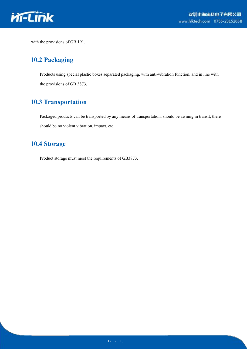

with the provisions of GB 191.

#### **10.2 Packaging**

Products using special plastic boxes separated packaging, with anti-vibration function, and in line with the provisions of GB 3873.

#### **10.3 Transportation**

Packaged products can be transported by any means of transportation, should be awning in transit, there should be no violent vibration, impact, etc.

### **10.4 Storage**

Product storage must meet the requirements of GB3873.